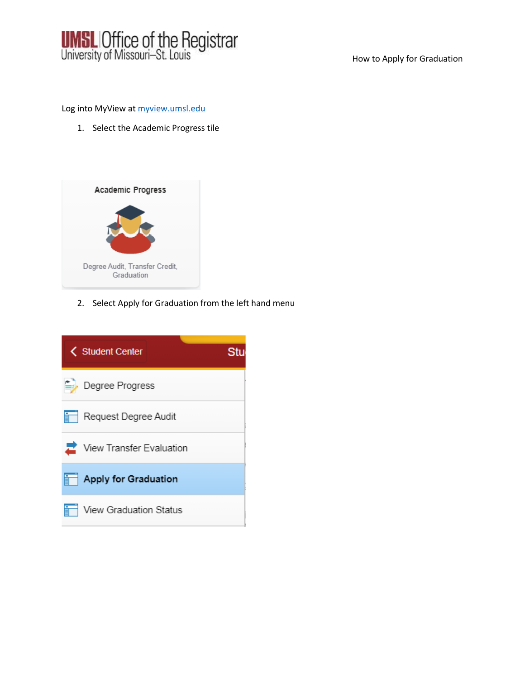

How to Apply for Graduation

Log into MyView at [myview.umsl.edu](file:///C:/Users/Tackettm/Downloads/myview.umsl.edu)

1. Select the Academic Progress tile



2. Select Apply for Graduation from the left hand menu

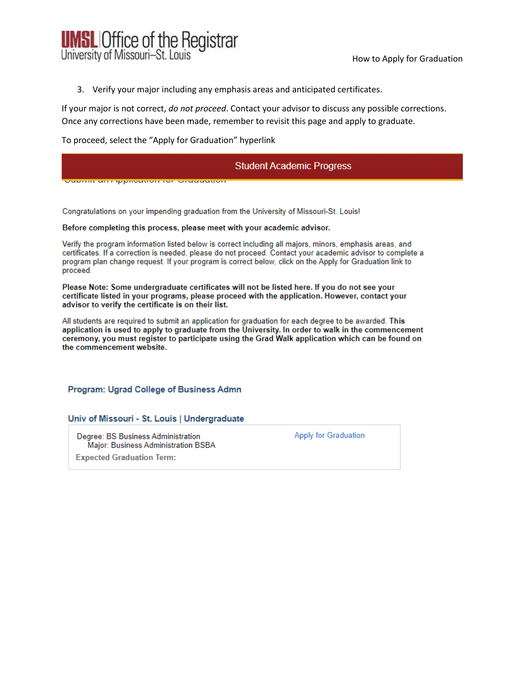

3. Verify your major including any emphasis areas and anticipated certificates.

If your major is not correct, *do not proceed*. Contact your advisor to discuss any possible corrections. Once any corrections have been made, remember to revisit this page and apply to graduate.

To proceed, select the "Apply for Graduation" hyperlink

## **Student Academic Progress**

<u>odorim diri ippiloduon ioi lordududioi</u>

Congratulations on your impending graduation from the University of Missouri-St. Louis!

### Before completing this process, please meet with your academic advisor.

Verify the program information listed below is correct including all majors, minors, emphasis areas, and certificates. If a correction is needed, please do not proceed. Contact your academic advisor to complete a program plan change request. If your program is correct below, click on the Apply for Graduation link to proceed.

Please Note: Some undergraduate certificates will not be listed here. If you do not see your certificate listed in your programs, please proceed with the application. However, contact your advisor to verify the certificate is on their list.

All students are required to submit an application for graduation for each degree to be awarded. This application is used to apply to graduate from the University. In order to walk in the commencement ceremony, you must register to participate using the Grad Walk application which can be found on the commencement website.

Program: Ugrad College of Business Admn

Univ of Missouri - St. Louis | Undergraduate

Degree: BS Business Administration Major: Business Administration BSBA **Expected Graduation Term:** 

Apply for Graduation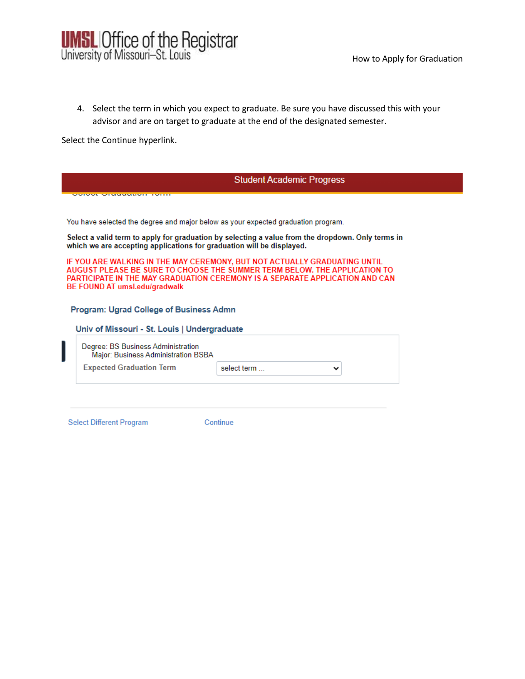

4. Select the term in which you expect to graduate. Be sure you have discussed this with your advisor and are on target to graduate at the end of the designated semester.

Select the Continue hyperlink.

| <b>Student Academic Progress</b>                                                        |                                                                                                                                                                                                                                        |
|-----------------------------------------------------------------------------------------|----------------------------------------------------------------------------------------------------------------------------------------------------------------------------------------------------------------------------------------|
| <u>Siusanin ivii</u>                                                                    |                                                                                                                                                                                                                                        |
|                                                                                         | You have selected the degree and major below as your expected graduation program.                                                                                                                                                      |
| which we are accepting applications for graduation will be displayed.                   | Select a valid term to apply for graduation by selecting a value from the dropdown. Only terms in                                                                                                                                      |
| BE FOUND AT umsl.edu/gradwalk                                                           | IF YOU ARE WALKING IN THE MAY CEREMONY, BUT NOT ACTUALLY GRADUATING UNTIL<br>AUGUST PLEASE BE SURE TO CHOOSE THE SUMMER TERM BELOW. THE APPLICATION TO<br>PARTICIPATE IN THE MAY GRADUATION CEREMONY IS A SEPARATE APPLICATION AND CAN |
| Program: Ugrad College of Business Admn<br>Univ of Missouri - St. Louis   Undergraduate |                                                                                                                                                                                                                                        |
| Degree: BS Business Administration<br>Major: Business Administration BSBA               |                                                                                                                                                                                                                                        |
|                                                                                         |                                                                                                                                                                                                                                        |

Select Different Program

 $\overline{\phantom{a}}$ 

Continue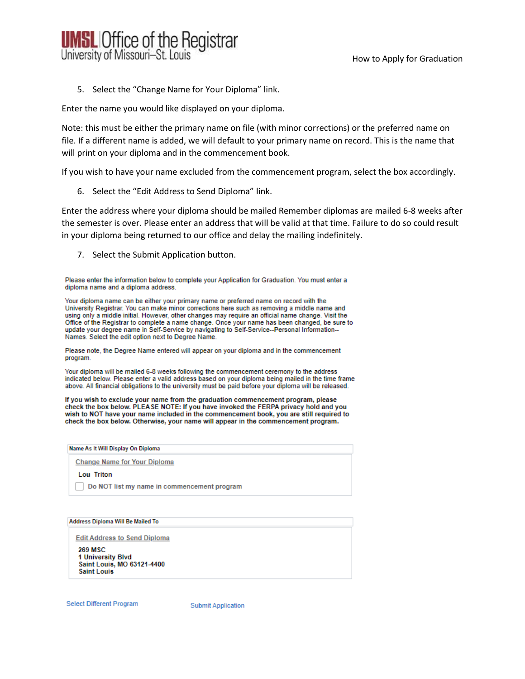

5. Select the "Change Name for Your Diploma" link.

Enter the name you would like displayed on your diploma.

Note: this must be either the primary name on file (with minor corrections) or the preferred name on file. If a different name is added, we will default to your primary name on record. This is the name that will print on your diploma and in the commencement book.

If you wish to have your name excluded from the commencement program, select the box accordingly.

6. Select the "Edit Address to Send Diploma" link.

Enter the address where your diploma should be mailed Remember diplomas are mailed 6-8 weeks after the semester is over. Please enter an address that will be valid at that time. Failure to do so could result in your diploma being returned to our office and delay the mailing indefinitely.

7. Select the Submit Application button.

Please enter the information below to complete your Application for Graduation. You must enter a diploma name and a diploma address.

Your diploma name can be either your primary name or preferred name on record with the University Registrar, You can make minor corrections here such as removing a middle name and using only a middle initial. However, other changes may require an official name change. Visit the Office of the Registrar to complete a name change. Once your name has been changed, be sure to update your degree name in Self-Service by navigating to Self-Service--Personal Information--Names. Select the edit option next to Degree Name.

Please note, the Degree Name entered will appear on your diploma and in the commencement program.

Your diploma will be mailed 6-8 weeks following the commencement ceremony to the address indicated below. Please enter a valid address based on your diploma being mailed in the time frame above. All financial obligations to the university must be paid before your diploma will be released.

If you wish to exclude your name from the graduation commencement program, please check the box below. PLEASE NOTE: If you have invoked the FERPA privacy hold and you wish to NOT have your name included in the commencement book, you are still required to check the box below. Otherwise, your name will appear in the commencement program.

Name As It Will Display On Diploma

**Change Name for Your Diploma** 

**Lou Triton** 

Do NOT list my name in commencement program

Address Diploma Will Be Mailed To

**Edit Address to Send Diploma** 

**269 MSC** 1 University Blvd Saint Louis, MO 63121-4400 **Saint Louis** 

Select Different Program

**Submit Application**